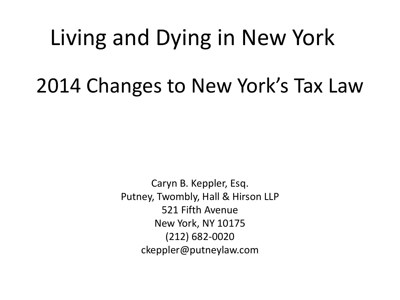# Living and Dying in New York 2014 Changes to New York's Tax Law

Caryn B. Keppler, Esq. Putney, Twombly, Hall & Hirson LLP 521 Fifth Avenue New York, NY 10175 (212) 682-0020 ckeppler@putneylaw.com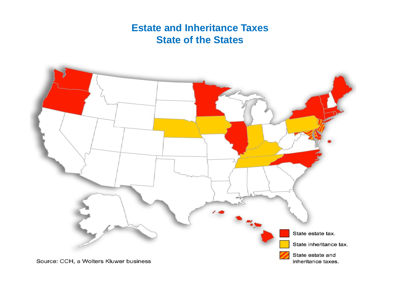#### **Estate and Inheritance Taxes State of the States**

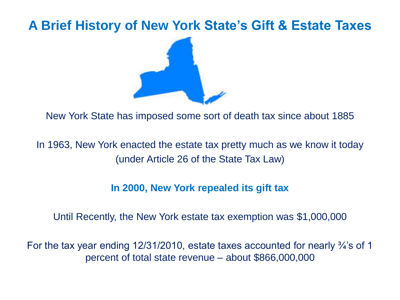## **A Brief History of New York State's Gift & Estate Taxes**



New York State has imposed some sort of death tax since about 1885

In 1963, New York enacted the estate tax pretty much as we know it today (under Article 26 of the State Tax Law)

#### **In 2000, New York repealed its gift tax**

#### Until Recently, the New York estate tax exemption was \$1,000,000

For the tax year ending 12/31/2010, estate taxes accounted for nearly <sup>3</sup>/<sub>4</sub>'s of 1 percent of total state revenue – about \$866,000,000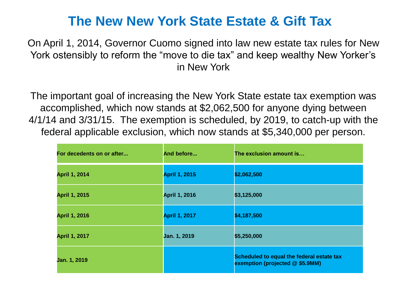#### **The New New York State Estate & Gift Tax**

On April 1, 2014, Governor Cuomo signed into law new estate tax rules for New York ostensibly to reform the "move to die tax" and keep wealthy New Yorker's in New York

The important goal of increasing the New York State estate tax exemption was accomplished, which now stands at \$2,062,500 for anyone dying between 4/1/14 and 3/31/15. The exemption is scheduled, by 2019, to catch-up with the federal applicable exclusion, which now stands at \$5,340,000 per person.

| For decedents on or after | And before           | The exclusion amount is                                                      |
|---------------------------|----------------------|------------------------------------------------------------------------------|
| <b>April 1, 2014</b>      | <b>April 1, 2015</b> | \$2,062,500                                                                  |
| <b>April 1, 2015</b>      | <b>April 1, 2016</b> | \$3,125,000                                                                  |
| <b>April 1, 2016</b>      | <b>April 1, 2017</b> | \$4,187,500                                                                  |
| <b>April 1, 2017</b>      | Jan. 1, 2019         | \$5,250,000                                                                  |
| Jan. 1, 2019              |                      | Scheduled to equal the federal estate tax<br>exemption (projected @ \$5.9MM) |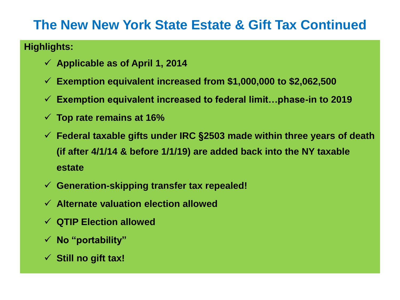#### **Highlights:**

- **Applicable as of April 1, 2014**
- **Exemption equivalent increased from \$1,000,000 to \$2,062,500**
- **Exemption equivalent increased to federal limit…phase-in to 2019**
- **Top rate remains at 16%**
- **Federal taxable gifts under IRC §2503 made within three years of death (if after 4/1/14 & before 1/1/19) are added back into the NY taxable estate**
- **Generation-skipping transfer tax repealed!**
- **Alternate valuation election allowed**
- **QTIP Election allowed**
- **No "portability"**
- **Still no gift tax!**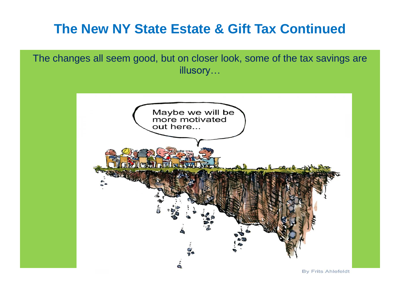The changes all seem good, but on closer look, some of the tax savings are illusory…

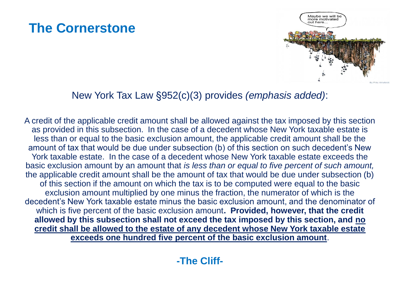

#### New York Tax Law §952(c)(3) provides *(emphasis added)*:

A credit of the applicable credit amount shall be allowed against the tax imposed by this section as provided in this subsection. In the case of a decedent whose New York taxable estate is less than or equal to the basic exclusion amount, the applicable credit amount shall be the amount of tax that would be due under subsection (b) of this section on such decedent's New York taxable estate. In the case of a decedent whose New York taxable estate exceeds the basic exclusion amount by an amount that *is less than or equal to five percent of such amount,*  the applicable credit amount shall be the amount of tax that would be due under subsection (b) of this section if the amount on which the tax is to be computed were equal to the basic exclusion amount multiplied by one minus the fraction, the numerator of which is the decedent's New York taxable estate minus the basic exclusion amount, and the denominator of which is five percent of the basic exclusion amount**. Provided, however, that the credit allowed by this subsection shall not exceed the tax imposed by this section, and no credit shall be allowed to the estate of any decedent whose New York taxable estate exceeds one hundred five percent of the basic exclusion amount**.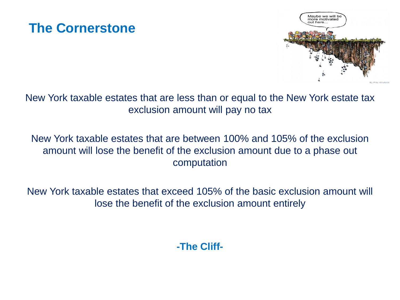

New York taxable estates that are less than or equal to the New York estate tax exclusion amount will pay no tax

New York taxable estates that are between 100% and 105% of the exclusion amount will lose the benefit of the exclusion amount due to a phase out computation

New York taxable estates that exceed 105% of the basic exclusion amount will lose the benefit of the exclusion amount entirely

**-The Cliff-**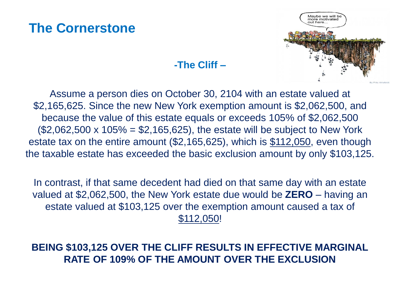

#### **-The Cliff –**

Assume a person dies on October 30, 2104 with an estate valued at \$2,165,625. Since the new New York exemption amount is \$2,062,500, and because the value of this estate equals or exceeds 105% of \$2,062,500  $($2,062,500 \times 105\% = $2,165,625)$ , the estate will be subject to New York estate tax on the entire amount (\$2,165,625), which is \$112,050, even though the taxable estate has exceeded the basic exclusion amount by only \$103,125.

In contrast, if that same decedent had died on that same day with an estate valued at \$2,062,500, the New York estate due would be **ZERO** – having an estate valued at \$103,125 over the exemption amount caused a tax of \$112,050!

#### **BEING \$103,125 OVER THE CLIFF RESULTS IN EFFECTIVE MARGINAL RATE OF 109% OF THE AMOUNT OVER THE EXCLUSION**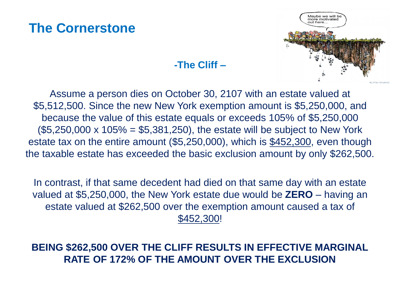

#### **-The Cliff –**

Assume a person dies on October 30, 2107 with an estate valued at \$5,512,500. Since the new New York exemption amount is \$5,250,000, and because the value of this estate equals or exceeds 105% of \$5,250,000  $($5,250,000 \times 105\% = $5,381,250)$ , the estate will be subject to New York estate tax on the entire amount (\$5,250,000), which is \$452,300, even though the taxable estate has exceeded the basic exclusion amount by only \$262,500.

In contrast, if that same decedent had died on that same day with an estate valued at \$5,250,000, the New York estate due would be **ZERO** – having an estate valued at \$262,500 over the exemption amount caused a tax of \$452,300!

#### **BEING \$262,500 OVER THE CLIFF RESULTS IN EFFECTIVE MARGINAL RATE OF 172% OF THE AMOUNT OVER THE EXCLUSION**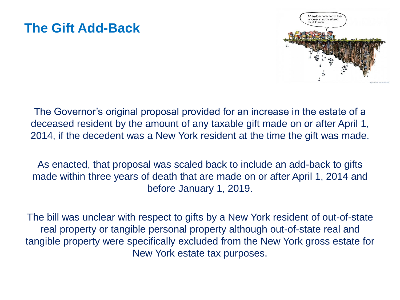#### **The Gift Add-Back**



The Governor's original proposal provided for an increase in the estate of a deceased resident by the amount of any taxable gift made on or after April 1, 2014, if the decedent was a New York resident at the time the gift was made.

As enacted, that proposal was scaled back to include an add-back to gifts made within three years of death that are made on or after April 1, 2014 and before January 1, 2019.

The bill was unclear with respect to gifts by a New York resident of out-of-state real property or tangible personal property although out-of-state real and tangible property were specifically excluded from the New York gross estate for New York estate tax purposes.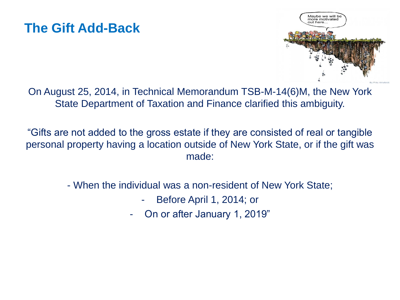## **The Gift Add-Back**



On August 25, 2014, in Technical Memorandum TSB-M-14(6)M, the New York State Department of Taxation and Finance clarified this ambiguity.

"Gifts are not added to the gross estate if they are consisted of real or tangible personal property having a location outside of New York State, or if the gift was made:

- When the individual was a non-resident of New York State;
	- Before April 1, 2014; or
	- On or after January 1, 2019"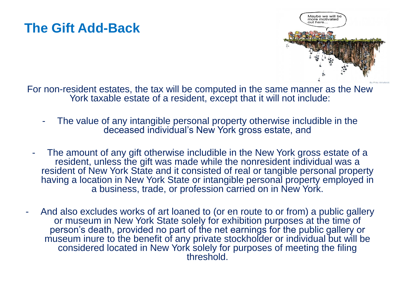## **The Gift Add-Back**



For non-resident estates, the tax will be computed in the same manner as the New York taxable estate of a resident, except that it will not include:

- The value of any intangible personal property otherwise includible in the deceased individual's New York gross estate, and
- The amount of any gift otherwise includible in the New York gross estate of a resident, unless the gift was made while the nonresident individual was a resident of New York State and it consisted of real or tangible personal property having a location in New York State or intangible personal property employed in a business, trade, or profession carried on in New York.
- And also excludes works of art loaned to (or en route to or from) a public gallery or museum in New York State solely for exhibition purposes at the time of person's death, provided no part of the net earnings for the public gallery or museum inure to the benefit of any private stockholder or individual but will be considered located in New York solely for purposes of meeting the filing threshold.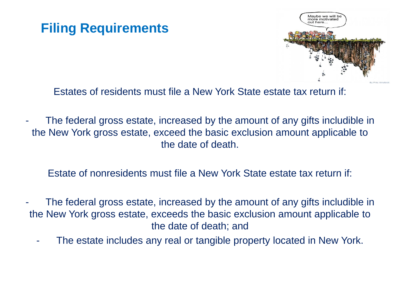## **Filing Requirements**



Estates of residents must file a New York State estate tax return if:

The federal gross estate, increased by the amount of any gifts includible in the New York gross estate, exceed the basic exclusion amount applicable to the date of death.

Estate of nonresidents must file a New York State estate tax return if:

- The federal gross estate, increased by the amount of any gifts includible in the New York gross estate, exceeds the basic exclusion amount applicable to the date of death; and
	- The estate includes any real or tangible property located in New York.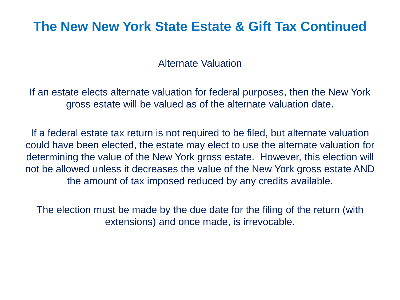Alternate Valuation

If an estate elects alternate valuation for federal purposes, then the New York gross estate will be valued as of the alternate valuation date.

If a federal estate tax return is not required to be filed, but alternate valuation could have been elected, the estate may elect to use the alternate valuation for determining the value of the New York gross estate. However, this election will not be allowed unless it decreases the value of the New York gross estate AND the amount of tax imposed reduced by any credits available.

The election must be made by the due date for the filing of the return (with extensions) and once made, is irrevocable.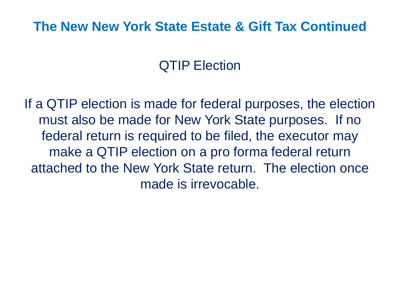## QTIP Election

If a QTIP election is made for federal purposes, the election must also be made for New York State purposes. If no federal return is required to be filed, the executor may make a QTIP election on a pro forma federal return attached to the New York State return. The election once made is irrevocable.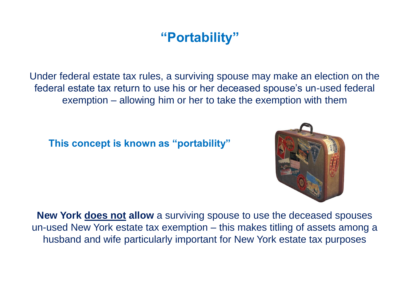## **"Portability"**

Under federal estate tax rules, a surviving spouse may make an election on the federal estate tax return to use his or her deceased spouse's un-used federal exemption – allowing him or her to take the exemption with them

**This concept is known as "portability"**



**New York does not allow** a surviving spouse to use the deceased spouses un-used New York estate tax exemption – this makes titling of assets among a husband and wife particularly important for New York estate tax purposes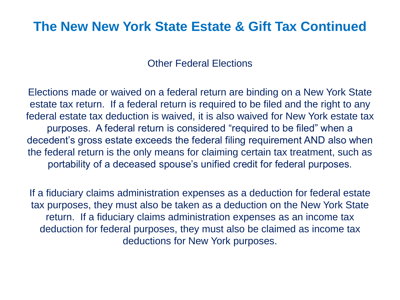Other Federal Elections

Elections made or waived on a federal return are binding on a New York State estate tax return. If a federal return is required to be filed and the right to any federal estate tax deduction is waived, it is also waived for New York estate tax purposes. A federal return is considered "required to be filed" when a decedent's gross estate exceeds the federal filing requirement AND also when the federal return is the only means for claiming certain tax treatment, such as portability of a deceased spouse's unified credit for federal purposes.

If a fiduciary claims administration expenses as a deduction for federal estate tax purposes, they must also be taken as a deduction on the New York State return. If a fiduciary claims administration expenses as an income tax deduction for federal purposes, they must also be claimed as income tax deductions for New York purposes.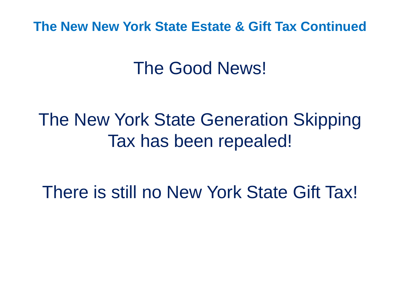# The Good News!

# The New York State Generation Skipping Tax has been repealed!

There is still no New York State Gift Tax!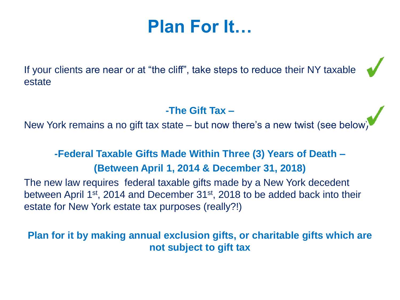# **Plan For It…**

If your clients are near or at "the cliff", take steps to reduce their NY taxable estate

#### **-The Gift Tax –**

New York remains a no gift tax state – but now there's a new twist (see below)

#### **-Federal Taxable Gifts Made Within Three (3) Years of Death – (Between April 1, 2014 & December 31, 2018)**

The new law requires federal taxable gifts made by a New York decedent between April 1<sup>st</sup>, 2014 and December 31<sup>st</sup>, 2018 to be added back into their estate for New York estate tax purposes (really?!)

**Plan for it by making annual exclusion gifts, or charitable gifts which are not subject to gift tax**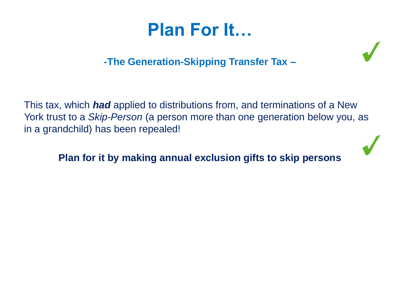# **Plan For It…**

#### **-The Generation-Skipping Transfer Tax –**

This tax, which *had* applied to distributions from, and terminations of a New York trust to a *Skip-Person* (a person more than one generation below you, as in a grandchild) has been repealed!

**Plan for it by making annual exclusion gifts to skip persons**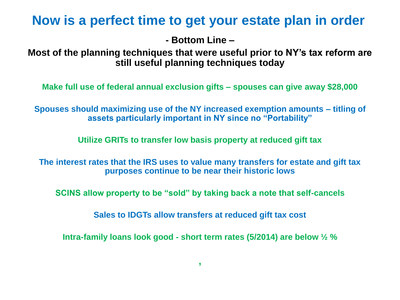#### **Now is a perfect time to get your estate plan in order**

**- Bottom Line –**

**Most of the planning techniques that were useful prior to NY's tax reform are still useful planning techniques today**

**Make full use of federal annual exclusion gifts – spouses can give away \$28,000** 

**Spouses should maximizing use of the NY increased exemption amounts – titling of assets particularly important in NY since no "Portability"**

**Utilize GRITs to transfer low basis property at reduced gift tax**

**The interest rates that the IRS uses to value many transfers for estate and gift tax purposes continue to be near their historic lows**

**SCINS allow property to be "sold" by taking back a note that self-cancels**

**Sales to IDGTs allow transfers at reduced gift tax cost**

**Intra-family loans look good - short term rates (5/2014) are below ½ %**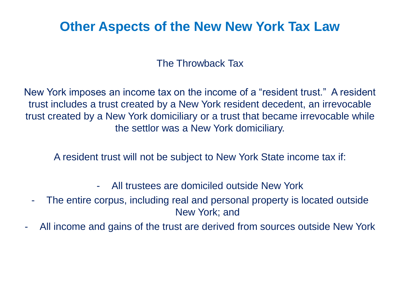### **Other Aspects of the New New York Tax Law**

#### The Throwback Tax

New York imposes an income tax on the income of a "resident trust." A resident trust includes a trust created by a New York resident decedent, an irrevocable trust created by a New York domiciliary or a trust that became irrevocable while the settlor was a New York domiciliary.

A resident trust will not be subject to New York State income tax if:

- All trustees are domiciled outside New York
- The entire corpus, including real and personal property is located outside New York; and
- All income and gains of the trust are derived from sources outside New York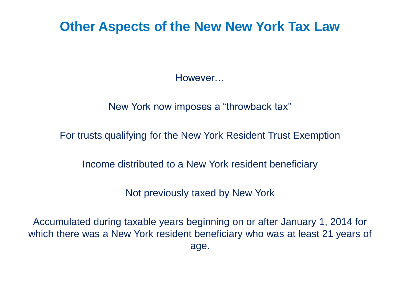#### **Other Aspects of the New New York Tax Law**

However…

New York now imposes a "throwback tax"

For trusts qualifying for the New York Resident Trust Exemption

Income distributed to a New York resident beneficiary

Not previously taxed by New York

Accumulated during taxable years beginning on or after January 1, 2014 for which there was a New York resident beneficiary who was at least 21 years of age.